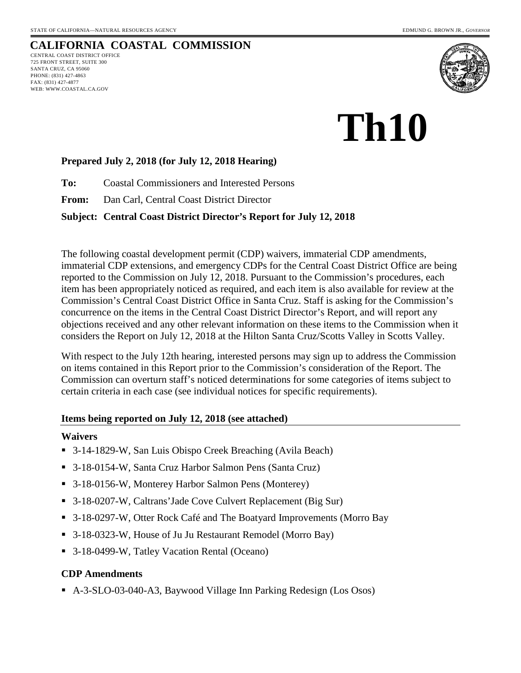WEB: WWW.COASTAL.CA.GOV

#### **CALIFORNIA COASTAL COMMISSION** CENTRAL COAST DISTRICT OFFICE 725 FRONT STREET, SUITE 300 SANTA CRUZ, CA 95060 PHONE: (831) 427-4863 FAX: (831) 427-4877



# **Th10**

### **Prepared July 2, 2018 (for July 12, 2018 Hearing)**

**To:** Coastal Commissioners and Interested Persons

**From:** Dan Carl, Central Coast District Director

### **Subject: Central Coast District Director's Report for July 12, 2018**

The following coastal development permit (CDP) waivers, immaterial CDP amendments, immaterial CDP extensions, and emergency CDPs for the Central Coast District Office are being reported to the Commission on July 12, 2018. Pursuant to the Commission's procedures, each item has been appropriately noticed as required, and each item is also available for review at the Commission's Central Coast District Office in Santa Cruz. Staff is asking for the Commission's concurrence on the items in the Central Coast District Director's Report, and will report any objections received and any other relevant information on these items to the Commission when it considers the Report on July 12, 2018 at the Hilton Santa Cruz/Scotts Valley in Scotts Valley.

With respect to the July 12th hearing, interested persons may sign up to address the Commission on items contained in this Report prior to the Commission's consideration of the Report. The Commission can overturn staff's noticed determinations for some categories of items subject to certain criteria in each case (see individual notices for specific requirements).

### **Items being reported on July 12, 2018 (see attached)**

### **Waivers**

- 3-14-1829-W, San Luis Obispo Creek Breaching (Avila Beach)
- 3-18-0154-W, Santa Cruz Harbor Salmon Pens (Santa Cruz)
- 3-18-0156-W, Monterey Harbor Salmon Pens (Monterey)
- 3-18-0207-W, Caltrans' Jade Cove Culvert Replacement (Big Sur)
- 3-18-0297-W, Otter Rock Café and The Boatyard Improvements (Morro Bay
- 3-18-0323-W, House of Ju Ju Restaurant Remodel (Morro Bay)
- 3-18-0499-W, Tatley Vacation Rental (Oceano)

### **CDP Amendments**

A-3-SLO-03-040-A3, Baywood Village Inn Parking Redesign (Los Osos)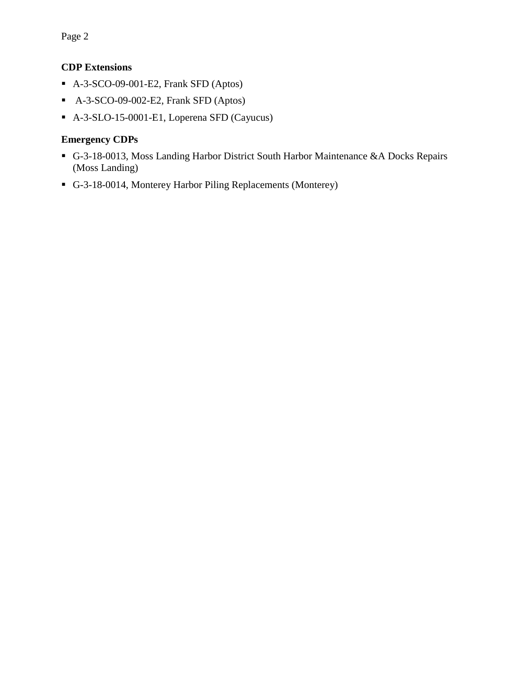Page 2

### **CDP Extensions**

- A-3-SCO-09-001-E2, Frank SFD (Aptos)
- A-3-SCO-09-002-E2, Frank SFD (Aptos)
- A-3-SLO-15-0001-E1, Loperena SFD (Cayucus)

### **Emergency CDPs**

- G-3-18-0013, Moss Landing Harbor District South Harbor Maintenance &A Docks Repairs (Moss Landing)
- G-3-18-0014, Monterey Harbor Piling Replacements (Monterey)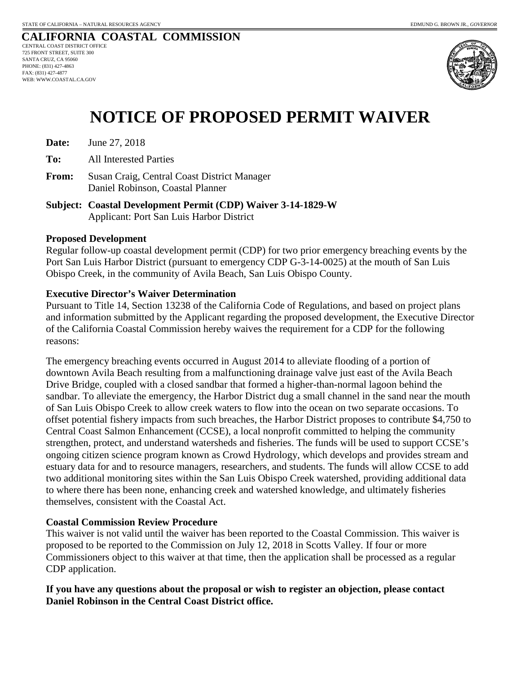

## **NOTICE OF PROPOSED PERMIT WAIVER**

**Date:** June 27, 2018

**To:** All Interested Parties

- **From:** Susan Craig, Central Coast District Manager Daniel Robinson, Coastal Planner
- **Subject: Coastal Development Permit (CDP) Waiver 3-14-1829-W**  Applicant: Port San Luis Harbor District

### **Proposed Development**

Regular follow-up coastal development permit (CDP) for two prior emergency breaching events by the Port San Luis Harbor District (pursuant to emergency CDP G-3-14-0025) at the mouth of San Luis Obispo Creek, in the community of Avila Beach, San Luis Obispo County.

### **Executive Director's Waiver Determination**

Pursuant to Title 14, Section 13238 of the California Code of Regulations, and based on project plans and information submitted by the Applicant regarding the proposed development, the Executive Director of the California Coastal Commission hereby waives the requirement for a CDP for the following reasons:

The emergency breaching events occurred in August 2014 to alleviate flooding of a portion of downtown Avila Beach resulting from a malfunctioning drainage valve just east of the Avila Beach Drive Bridge, coupled with a closed sandbar that formed a higher-than-normal lagoon behind the sandbar. To alleviate the emergency, the Harbor District dug a small channel in the sand near the mouth of San Luis Obispo Creek to allow creek waters to flow into the ocean on two separate occasions. To offset potential fishery impacts from such breaches, the Harbor District proposes to contribute \$4,750 to Central Coast Salmon Enhancement (CCSE), a local nonprofit committed to helping the community strengthen, protect, and understand watersheds and fisheries. The funds will be used to support CCSE's ongoing citizen science program known as Crowd Hydrology, which develops and provides stream and estuary data for and to resource managers, researchers, and students. The funds will allow CCSE to add two additional monitoring sites within the San Luis Obispo Creek watershed, providing additional data to where there has been none, enhancing creek and watershed knowledge, and ultimately fisheries themselves, consistent with the Coastal Act.

### **Coastal Commission Review Procedure**

This waiver is not valid until the waiver has been reported to the Coastal Commission. This waiver is proposed to be reported to the Commission on July 12, 2018 in Scotts Valley. If four or more Commissioners object to this waiver at that time, then the application shall be processed as a regular CDP application.

### **If you have any questions about the proposal or wish to register an objection, please contact Daniel Robinson in the Central Coast District office.**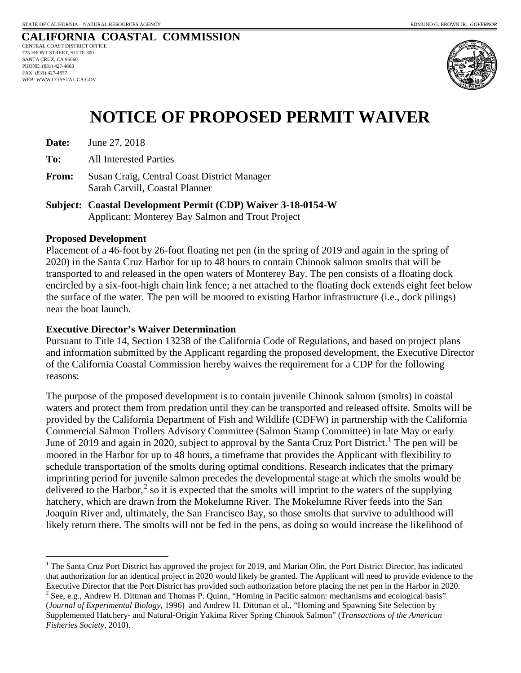

## **NOTICE OF PROPOSED PERMIT WAIVER**

**Date:** June 27, 2018

**To:** All Interested Parties

- **From:** Susan Craig, Central Coast District Manager Sarah Carvill, Coastal Planner
- **Subject: Coastal Development Permit (CDP) Waiver 3-18-0154-W**  Applicant: Monterey Bay Salmon and Trout Project

### **Proposed Development**

Placement of a 46-foot by 26-foot floating net pen (in the spring of 2019 and again in the spring of 2020) in the Santa Cruz Harbor for up to 48 hours to contain Chinook salmon smolts that will be transported to and released in the open waters of Monterey Bay. The pen consists of a floating dock encircled by a six-foot-high chain link fence; a net attached to the floating dock extends eight feet below the surface of the water. The pen will be moored to existing Harbor infrastructure (i.e., dock pilings) near the boat launch.

### **Executive Director's Waiver Determination**

Pursuant to Title 14, Section 13238 of the California Code of Regulations, and based on project plans and information submitted by the Applicant regarding the proposed development, the Executive Director of the California Coastal Commission hereby waives the requirement for a CDP for the following reasons:

The purpose of the proposed development is to contain juvenile Chinook salmon (smolts) in coastal waters and protect them from predation until they can be transported and released offsite. Smolts will be provided by the California Department of Fish and Wildlife (CDFW) in partnership with the California Commercial Salmon Trollers Advisory Committee (Salmon Stamp Committee) in late May or early June of 20[1](#page-3-0)9 and again in 2020, subject to approval by the Santa Cruz Port District.<sup>1</sup> The pen will be moored in the Harbor for up to 48 hours, a timeframe that provides the Applicant with flexibility to schedule transportation of the smolts during optimal conditions. Research indicates that the primary imprinting period for juvenile salmon precedes the developmental stage at which the smolts would be delivered to the Harbor, $<sup>2</sup>$  $<sup>2</sup>$  $<sup>2</sup>$  so it is expected that the smolts will imprint to the waters of the supplying</sup> hatchery, which are drawn from the Mokelumne River. The Mokelumne River feeds into the San Joaquin River and, ultimately, the San Francisco Bay, so those smolts that survive to adulthood will likely return there. The smolts will not be fed in the pens, as doing so would increase the likelihood of

<span id="page-3-0"></span> $\overline{a}$ <sup>1</sup> The Santa Cruz Port District has approved the project for 2019, and Marian Olin, the Port District Director, has indicated that authorization for an identical project in 2020 would likely be granted. The Applicant will need to provide evidence to the Executive Director that the Port District has provided such authorization before placing the net pen in the Harbor in 2020.<br><sup>2</sup> See, e.g., Andrew H. Dittman and Thomas P. Quinn, "Homing in Pacific salmon: mechanisms and ec

<span id="page-3-1"></span><sup>(</sup>*Journal of Experimental Biology*, 1996) and Andrew H. Dittman et al., "Homing and Spawning Site Selection by Supplemented Hatchery‐ and Natural‐Origin Yakima River Spring Chinook Salmon" (*Transactions of the American Fisheries Society*, 2010).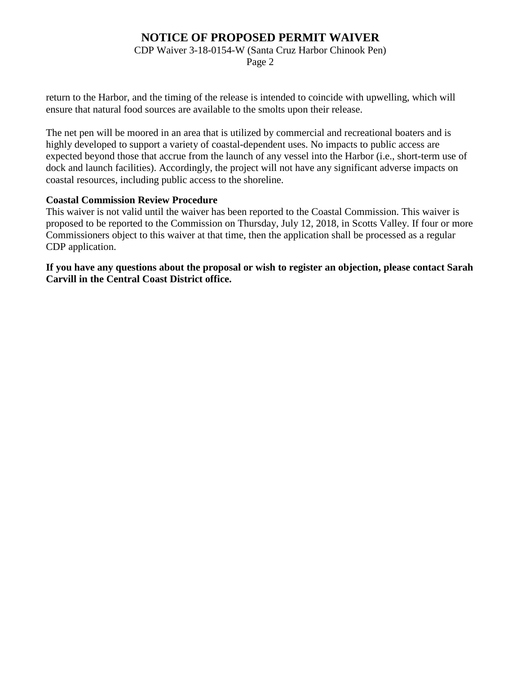CDP Waiver 3-18-0154-W (Santa Cruz Harbor Chinook Pen)

Page 2

return to the Harbor, and the timing of the release is intended to coincide with upwelling, which will ensure that natural food sources are available to the smolts upon their release.

The net pen will be moored in an area that is utilized by commercial and recreational boaters and is highly developed to support a variety of coastal-dependent uses. No impacts to public access are expected beyond those that accrue from the launch of any vessel into the Harbor (i.e., short-term use of dock and launch facilities). Accordingly, the project will not have any significant adverse impacts on coastal resources, including public access to the shoreline.

### **Coastal Commission Review Procedure**

This waiver is not valid until the waiver has been reported to the Coastal Commission. This waiver is proposed to be reported to the Commission on Thursday, July 12, 2018, in Scotts Valley. If four or more Commissioners object to this waiver at that time, then the application shall be processed as a regular CDP application.

**If you have any questions about the proposal or wish to register an objection, please contact Sarah Carvill in the Central Coast District office.**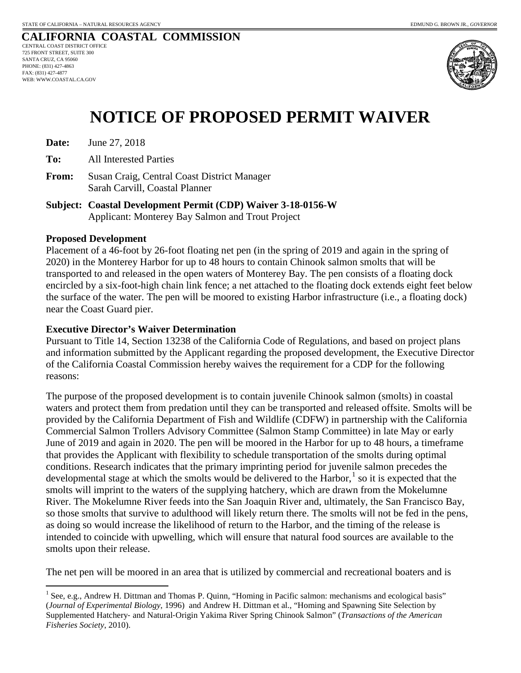

## **NOTICE OF PROPOSED PERMIT WAIVER**

**Date:** June 27, 2018

**To:** All Interested Parties

**From:** Susan Craig, Central Coast District Manager Sarah Carvill, Coastal Planner

**Subject: Coastal Development Permit (CDP) Waiver 3-18-0156-W**  Applicant: Monterey Bay Salmon and Trout Project

### **Proposed Development**

Placement of a 46-foot by 26-foot floating net pen (in the spring of 2019 and again in the spring of 2020) in the Monterey Harbor for up to 48 hours to contain Chinook salmon smolts that will be transported to and released in the open waters of Monterey Bay. The pen consists of a floating dock encircled by a six-foot-high chain link fence; a net attached to the floating dock extends eight feet below the surface of the water. The pen will be moored to existing Harbor infrastructure (i.e., a floating dock) near the Coast Guard pier.

### **Executive Director's Waiver Determination**

Pursuant to Title 14, Section 13238 of the California Code of Regulations, and based on project plans and information submitted by the Applicant regarding the proposed development, the Executive Director of the California Coastal Commission hereby waives the requirement for a CDP for the following reasons:

The purpose of the proposed development is to contain juvenile Chinook salmon (smolts) in coastal waters and protect them from predation until they can be transported and released offsite. Smolts will be provided by the California Department of Fish and Wildlife (CDFW) in partnership with the California Commercial Salmon Trollers Advisory Committee (Salmon Stamp Committee) in late May or early June of 2019 and again in 2020. The pen will be moored in the Harbor for up to 48 hours, a timeframe that provides the Applicant with flexibility to schedule transportation of the smolts during optimal conditions. Research indicates that the primary imprinting period for juvenile salmon precedes the developmental stage at which the smolts would be delivered to the Harbor, $<sup>1</sup>$  $<sup>1</sup>$  $<sup>1</sup>$  so it is expected that the</sup> smolts will imprint to the waters of the supplying hatchery, which are drawn from the Mokelumne River. The Mokelumne River feeds into the San Joaquin River and, ultimately, the San Francisco Bay, so those smolts that survive to adulthood will likely return there. The smolts will not be fed in the pens, as doing so would increase the likelihood of return to the Harbor, and the timing of the release is intended to coincide with upwelling, which will ensure that natural food sources are available to the smolts upon their release.

The net pen will be moored in an area that is utilized by commercial and recreational boaters and is

<span id="page-5-0"></span> $\overline{a}$  $<sup>1</sup>$  See, e.g., Andrew H. Dittman and Thomas P. Quinn, "Homing in Pacific salmon: mechanisms and ecological basis"</sup> (*Journal of Experimental Biology*, 1996) and Andrew H. Dittman et al., "Homing and Spawning Site Selection by Supplemented Hatchery‐ and Natural‐Origin Yakima River Spring Chinook Salmon" (*Transactions of the American Fisheries Society*, 2010).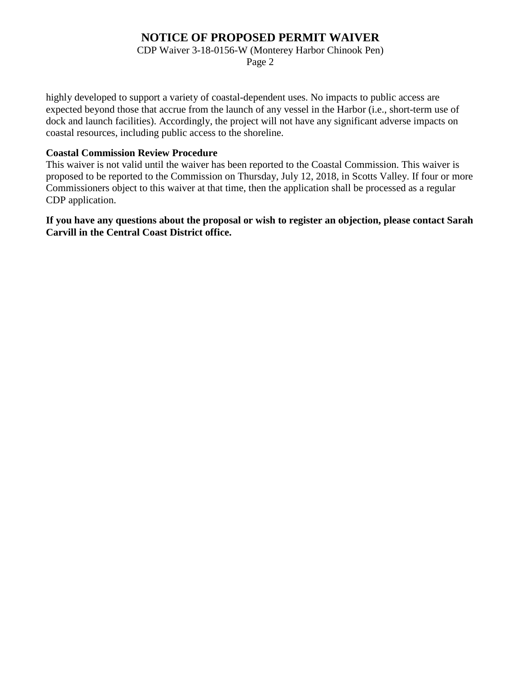CDP Waiver 3-18-0156-W (Monterey Harbor Chinook Pen)

Page 2

highly developed to support a variety of coastal-dependent uses. No impacts to public access are expected beyond those that accrue from the launch of any vessel in the Harbor (i.e., short-term use of dock and launch facilities). Accordingly, the project will not have any significant adverse impacts on coastal resources, including public access to the shoreline.

### **Coastal Commission Review Procedure**

This waiver is not valid until the waiver has been reported to the Coastal Commission. This waiver is proposed to be reported to the Commission on Thursday, July 12, 2018, in Scotts Valley. If four or more Commissioners object to this waiver at that time, then the application shall be processed as a regular CDP application.

**If you have any questions about the proposal or wish to register an objection, please contact Sarah Carvill in the Central Coast District office.**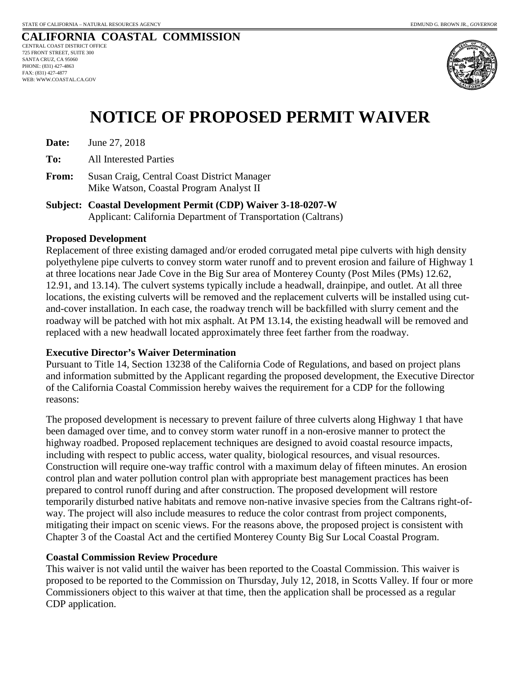

## **NOTICE OF PROPOSED PERMIT WAIVER**

**Date:** June 27, 2018

**To:** All Interested Parties

**From:** Susan Craig, Central Coast District Manager Mike Watson, Coastal Program Analyst II

**Subject: Coastal Development Permit (CDP) Waiver 3-18-0207-W**  Applicant: California Department of Transportation (Caltrans)

### **Proposed Development**

Replacement of three existing damaged and/or eroded corrugated metal pipe culverts with high density polyethylene pipe culverts to convey storm water runoff and to prevent erosion and failure of Highway 1 at three locations near Jade Cove in the Big Sur area of Monterey County (Post Miles (PMs) 12.62, 12.91, and 13.14). The culvert systems typically include a headwall, drainpipe, and outlet. At all three locations, the existing culverts will be removed and the replacement culverts will be installed using cutand-cover installation. In each case, the roadway trench will be backfilled with slurry cement and the roadway will be patched with hot mix asphalt. At PM 13.14, the existing headwall will be removed and replaced with a new headwall located approximately three feet farther from the roadway.

### **Executive Director's Waiver Determination**

Pursuant to Title 14, Section 13238 of the California Code of Regulations, and based on project plans and information submitted by the Applicant regarding the proposed development, the Executive Director of the California Coastal Commission hereby waives the requirement for a CDP for the following reasons:

The proposed development is necessary to prevent failure of three culverts along Highway 1 that have been damaged over time, and to convey storm water runoff in a non-erosive manner to protect the highway roadbed. Proposed replacement techniques are designed to avoid coastal resource impacts, including with respect to public access, water quality, biological resources, and visual resources. Construction will require one-way traffic control with a maximum delay of fifteen minutes. An erosion control plan and water pollution control plan with appropriate best management practices has been prepared to control runoff during and after construction. The proposed development will restore temporarily disturbed native habitats and remove non-native invasive species from the Caltrans right-ofway. The project will also include measures to reduce the color contrast from project components, mitigating their impact on scenic views. For the reasons above, the proposed project is consistent with Chapter 3 of the Coastal Act and the certified Monterey County Big Sur Local Coastal Program.

### **Coastal Commission Review Procedure**

This waiver is not valid until the waiver has been reported to the Coastal Commission. This waiver is proposed to be reported to the Commission on Thursday, July 12, 2018, in Scotts Valley. If four or more Commissioners object to this waiver at that time, then the application shall be processed as a regular CDP application.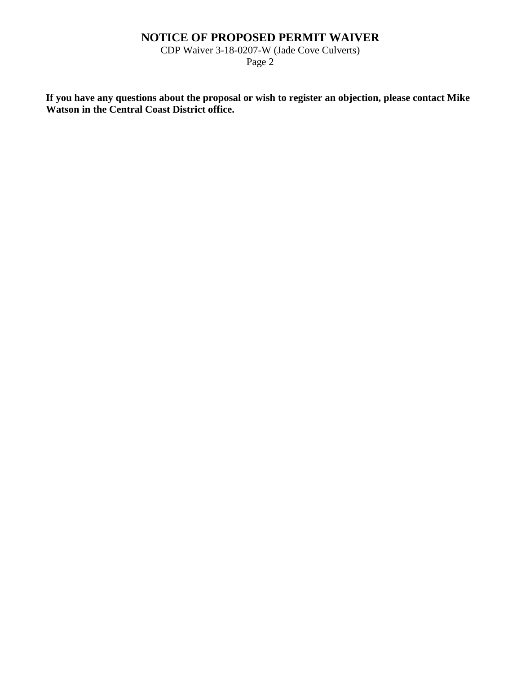CDP Waiver 3-18-0207-W (Jade Cove Culverts)

Page 2

**If you have any questions about the proposal or wish to register an objection, please contact Mike Watson in the Central Coast District office.**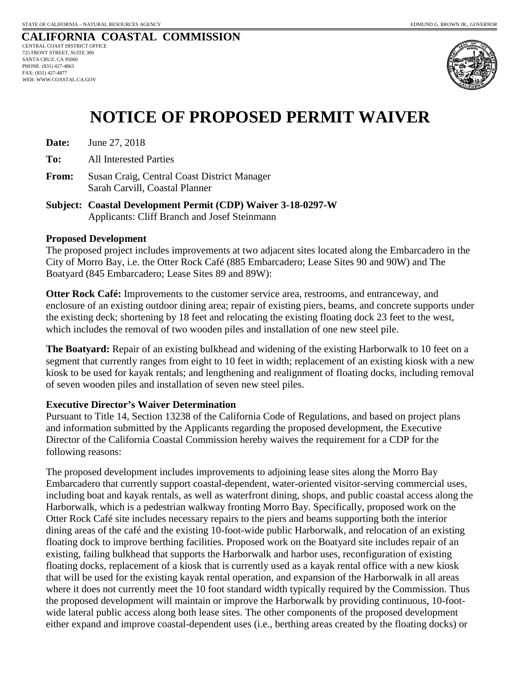

## **NOTICE OF PROPOSED PERMIT WAIVER**

**Date:** June 27, 2018

**To:** All Interested Parties

- **From:** Susan Craig, Central Coast District Manager Sarah Carvill, Coastal Planner
- **Subject: Coastal Development Permit (CDP) Waiver 3-18-0297-W**  Applicants: Cliff Branch and Josef Steinmann

### **Proposed Development**

The proposed project includes improvements at two adjacent sites located along the Embarcadero in the City of Morro Bay, i.e. the Otter Rock Café (885 Embarcadero; Lease Sites 90 and 90W) and The Boatyard (845 Embarcadero; Lease Sites 89 and 89W):

**Otter Rock Café:** Improvements to the customer service area, restrooms, and entranceway, and enclosure of an existing outdoor dining area; repair of existing piers, beams, and concrete supports under the existing deck; shortening by 18 feet and relocating the existing floating dock 23 feet to the west, which includes the removal of two wooden piles and installation of one new steel pile.

**The Boatyard:** Repair of an existing bulkhead and widening of the existing Harborwalk to 10 feet on a segment that currently ranges from eight to 10 feet in width; replacement of an existing kiosk with a new kiosk to be used for kayak rentals; and lengthening and realignment of floating docks, including removal of seven wooden piles and installation of seven new steel piles.

### **Executive Director's Waiver Determination**

Pursuant to Title 14, Section 13238 of the California Code of Regulations, and based on project plans and information submitted by the Applicants regarding the proposed development, the Executive Director of the California Coastal Commission hereby waives the requirement for a CDP for the following reasons:

The proposed development includes improvements to adjoining lease sites along the Morro Bay Embarcadero that currently support coastal-dependent, water-oriented visitor-serving commercial uses, including boat and kayak rentals, as well as waterfront dining, shops, and public coastal access along the Harborwalk, which is a pedestrian walkway fronting Morro Bay. Specifically, proposed work on the Otter Rock Café site includes necessary repairs to the piers and beams supporting both the interior dining areas of the café and the existing 10-foot-wide public Harborwalk, and relocation of an existing floating dock to improve berthing facilities. Proposed work on the Boatyard site includes repair of an existing, failing bulkhead that supports the Harborwalk and harbor uses, reconfiguration of existing floating docks, replacement of a kiosk that is currently used as a kayak rental office with a new kiosk that will be used for the existing kayak rental operation, and expansion of the Harborwalk in all areas where it does not currently meet the 10 foot standard width typically required by the Commission. Thus the proposed development will maintain or improve the Harborwalk by providing continuous, 10-footwide lateral public access along both lease sites. The other components of the proposed development either expand and improve coastal-dependent uses (i.e., berthing areas created by the floating docks) or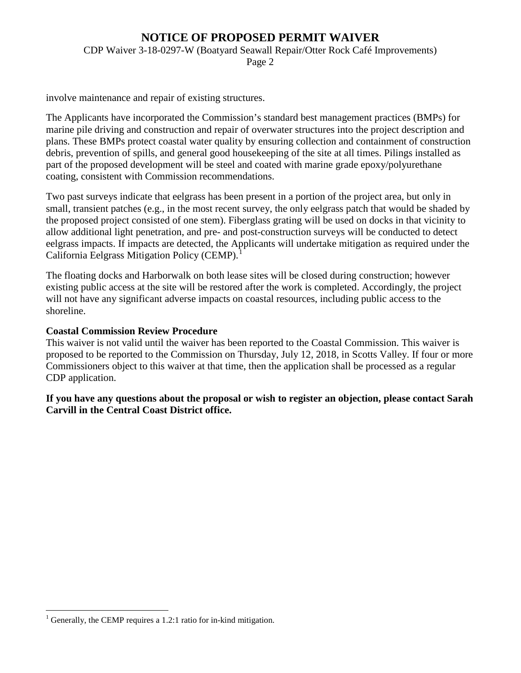CDP Waiver 3-18-0297-W (Boatyard Seawall Repair/Otter Rock Café Improvements)

Page 2

involve maintenance and repair of existing structures.

The Applicants have incorporated the Commission's standard best management practices (BMPs) for marine pile driving and construction and repair of overwater structures into the project description and plans. These BMPs protect coastal water quality by ensuring collection and containment of construction debris, prevention of spills, and general good housekeeping of the site at all times. Pilings installed as part of the proposed development will be steel and coated with marine grade epoxy/polyurethane coating, consistent with Commission recommendations.

Two past surveys indicate that eelgrass has been present in a portion of the project area, but only in small, transient patches (e.g., in the most recent survey, the only eelgrass patch that would be shaded by the proposed project consisted of one stem). Fiberglass grating will be used on docks in that vicinity to allow additional light penetration, and pre- and post-construction surveys will be conducted to detect eelgrass impacts. If impacts are detected, the Applicants will undertake mitigation as required under the California Eelgrass Mitigation Policy (CEMP).<sup>[1](#page-10-0)</sup>

The floating docks and Harborwalk on both lease sites will be closed during construction; however existing public access at the site will be restored after the work is completed. Accordingly, the project will not have any significant adverse impacts on coastal resources, including public access to the shoreline.

### **Coastal Commission Review Procedure**

This waiver is not valid until the waiver has been reported to the Coastal Commission. This waiver is proposed to be reported to the Commission on Thursday, July 12, 2018, in Scotts Valley. If four or more Commissioners object to this waiver at that time, then the application shall be processed as a regular CDP application.

**If you have any questions about the proposal or wish to register an objection, please contact Sarah Carvill in the Central Coast District office.**

 $\overline{a}$ 

<span id="page-10-0"></span>Generally, the CEMP requires a 1.2:1 ratio for in-kind mitigation.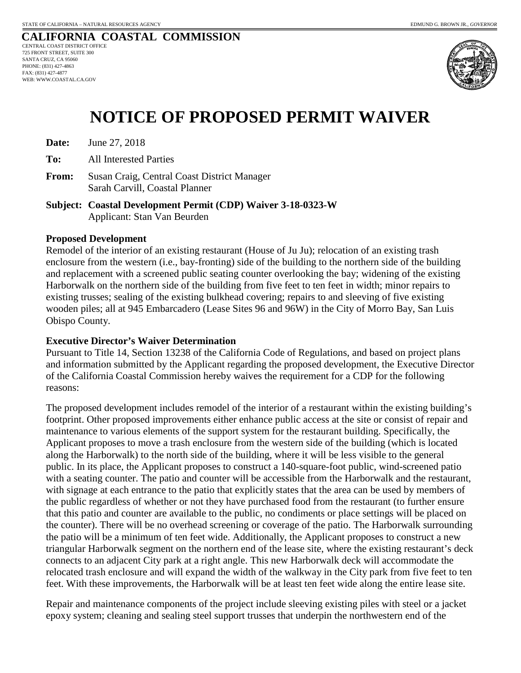

## **NOTICE OF PROPOSED PERMIT WAIVER**

**Date:** June 27, 2018

**To:** All Interested Parties

**From:** Susan Craig, Central Coast District Manager Sarah Carvill, Coastal Planner

**Subject: Coastal Development Permit (CDP) Waiver 3-18-0323-W**  Applicant: Stan Van Beurden

### **Proposed Development**

Remodel of the interior of an existing restaurant (House of Ju Ju); relocation of an existing trash enclosure from the western (i.e., bay-fronting) side of the building to the northern side of the building and replacement with a screened public seating counter overlooking the bay; widening of the existing Harborwalk on the northern side of the building from five feet to ten feet in width; minor repairs to existing trusses; sealing of the existing bulkhead covering; repairs to and sleeving of five existing wooden piles; all at 945 Embarcadero (Lease Sites 96 and 96W) in the City of Morro Bay, San Luis Obispo County.

### **Executive Director's Waiver Determination**

Pursuant to Title 14, Section 13238 of the California Code of Regulations, and based on project plans and information submitted by the Applicant regarding the proposed development, the Executive Director of the California Coastal Commission hereby waives the requirement for a CDP for the following reasons:

The proposed development includes remodel of the interior of a restaurant within the existing building's footprint. Other proposed improvements either enhance public access at the site or consist of repair and maintenance to various elements of the support system for the restaurant building. Specifically, the Applicant proposes to move a trash enclosure from the western side of the building (which is located along the Harborwalk) to the north side of the building, where it will be less visible to the general public. In its place, the Applicant proposes to construct a 140-square-foot public, wind-screened patio with a seating counter. The patio and counter will be accessible from the Harborwalk and the restaurant, with signage at each entrance to the patio that explicitly states that the area can be used by members of the public regardless of whether or not they have purchased food from the restaurant (to further ensure that this patio and counter are available to the public, no condiments or place settings will be placed on the counter). There will be no overhead screening or coverage of the patio. The Harborwalk surrounding the patio will be a minimum of ten feet wide. Additionally, the Applicant proposes to construct a new triangular Harborwalk segment on the northern end of the lease site, where the existing restaurant's deck connects to an adjacent City park at a right angle. This new Harborwalk deck will accommodate the relocated trash enclosure and will expand the width of the walkway in the City park from five feet to ten feet. With these improvements, the Harborwalk will be at least ten feet wide along the entire lease site.

Repair and maintenance components of the project include sleeving existing piles with steel or a jacket epoxy system; cleaning and sealing steel support trusses that underpin the northwestern end of the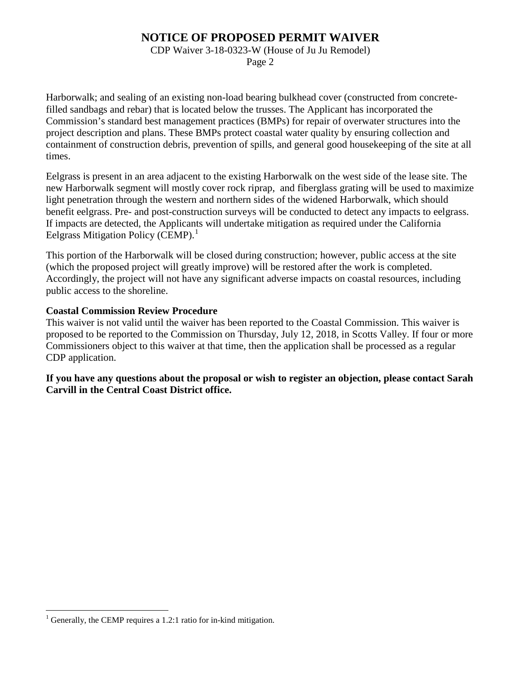CDP Waiver 3-18-0323-W (House of Ju Ju Remodel)

Page 2

Harborwalk; and sealing of an existing non-load bearing bulkhead cover (constructed from concretefilled sandbags and rebar) that is located below the trusses. The Applicant has incorporated the Commission's standard best management practices (BMPs) for repair of overwater structures into the project description and plans. These BMPs protect coastal water quality by ensuring collection and containment of construction debris, prevention of spills, and general good housekeeping of the site at all times.

Eelgrass is present in an area adjacent to the existing Harborwalk on the west side of the lease site. The new Harborwalk segment will mostly cover rock riprap, and fiberglass grating will be used to maximize light penetration through the western and northern sides of the widened Harborwalk, which should benefit eelgrass. Pre- and post-construction surveys will be conducted to detect any impacts to eelgrass. If impacts are detected, the Applicants will undertake mitigation as required under the California Eelgrass Mitigation Policy (CEMP).<sup>[1](#page-12-0)</sup>

This portion of the Harborwalk will be closed during construction; however, public access at the site (which the proposed project will greatly improve) will be restored after the work is completed. Accordingly, the project will not have any significant adverse impacts on coastal resources, including public access to the shoreline.

### **Coastal Commission Review Procedure**

This waiver is not valid until the waiver has been reported to the Coastal Commission. This waiver is proposed to be reported to the Commission on Thursday, July 12, 2018, in Scotts Valley. If four or more Commissioners object to this waiver at that time, then the application shall be processed as a regular CDP application.

**If you have any questions about the proposal or wish to register an objection, please contact Sarah Carvill in the Central Coast District office.**

 $\overline{a}$ 

<span id="page-12-0"></span>Generally, the CEMP requires a 1.2:1 ratio for in-kind mitigation.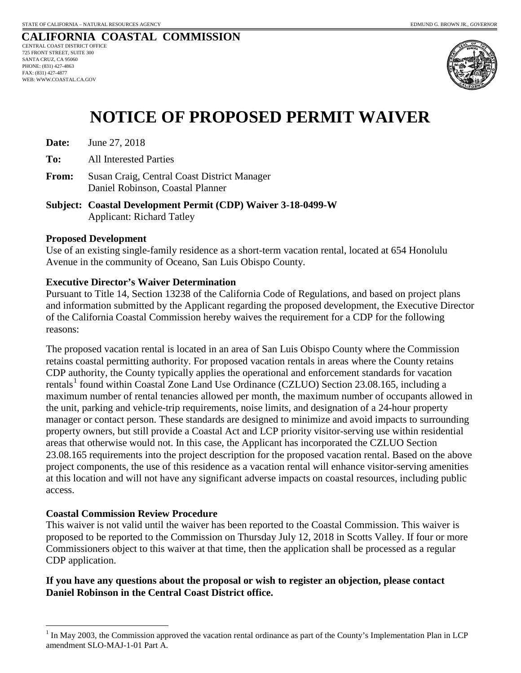

## **NOTICE OF PROPOSED PERMIT WAIVER**

**Date:** June 27, 2018

**To:** All Interested Parties

- **From:** Susan Craig, Central Coast District Manager Daniel Robinson, Coastal Planner
- **Subject: Coastal Development Permit (CDP) Waiver 3-18-0499-W**  Applicant: Richard Tatley

### **Proposed Development**

Use of an existing single-family residence as a short-term vacation rental, located at 654 Honolulu Avenue in the community of Oceano, San Luis Obispo County.

### **Executive Director's Waiver Determination**

Pursuant to Title 14, Section 13238 of the California Code of Regulations, and based on project plans and information submitted by the Applicant regarding the proposed development, the Executive Director of the California Coastal Commission hereby waives the requirement for a CDP for the following reasons:

The proposed vacation rental is located in an area of San Luis Obispo County where the Commission retains coastal permitting authority. For proposed vacation rentals in areas where the County retains CDP authority, the County typically applies the operational and enforcement standards for vacation rentals<sup>[1](#page-13-0)</sup> found within Coastal Zone Land Use Ordinance (CZLUO) Section 23.08.165, including a maximum number of rental tenancies allowed per month, the maximum number of occupants allowed in the unit, parking and vehicle-trip requirements, noise limits, and designation of a 24-hour property manager or contact person. These standards are designed to minimize and avoid impacts to surrounding property owners, but still provide a Coastal Act and LCP priority visitor-serving use within residential areas that otherwise would not. In this case, the Applicant has incorporated the CZLUO Section 23.08.165 requirements into the project description for the proposed vacation rental. Based on the above project components, the use of this residence as a vacation rental will enhance visitor-serving amenities at this location and will not have any significant adverse impacts on coastal resources, including public access.

### **Coastal Commission Review Procedure**

This waiver is not valid until the waiver has been reported to the Coastal Commission. This waiver is proposed to be reported to the Commission on Thursday July 12, 2018 in Scotts Valley. If four or more Commissioners object to this waiver at that time, then the application shall be processed as a regular CDP application.

### **If you have any questions about the proposal or wish to register an objection, please contact Daniel Robinson in the Central Coast District office.**

<span id="page-13-0"></span> $\overline{a}$ In May 2003, the Commission approved the vacation rental ordinance as part of the County's Implementation Plan in LCP amendment SLO-MAJ-1-01 Part A.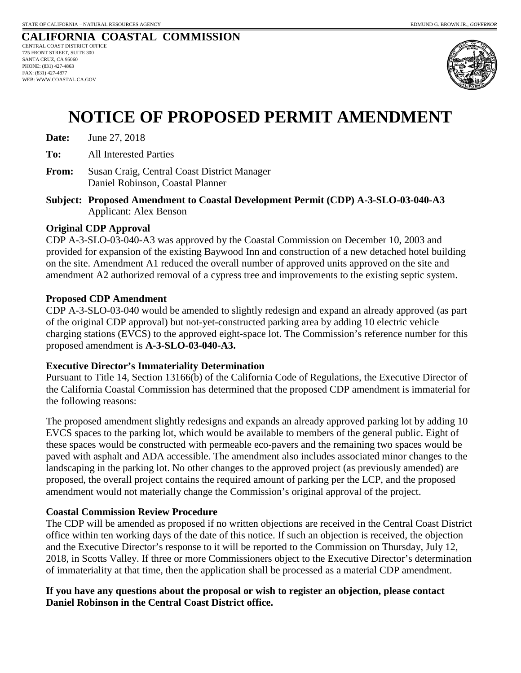

## **NOTICE OF PROPOSED PERMIT AMENDMENT**

**Date:** June 27, 2018

**To:** All Interested Parties

**From:** Susan Craig, Central Coast District Manager Daniel Robinson, Coastal Planner

**Subject: Proposed Amendment to Coastal Development Permit (CDP) A-3-SLO-03-040-A3** Applicant: Alex Benson

### **Original CDP Approval**

CDP A-3-SLO-03-040-A3 was approved by the Coastal Commission on December 10, 2003 and provided for expansion of the existing Baywood Inn and construction of a new detached hotel building on the site. Amendment A1 reduced the overall number of approved units approved on the site and amendment A2 authorized removal of a cypress tree and improvements to the existing septic system.

### **Proposed CDP Amendment**

CDP A-3-SLO-03-040 would be amended to slightly redesign and expand an already approved (as part of the original CDP approval) but not-yet-constructed parking area by adding 10 electric vehicle charging stations (EVCS) to the approved eight-space lot. The Commission's reference number for this proposed amendment is **A-3-SLO-03-040-A3.**

### **Executive Director's Immateriality Determination**

Pursuant to Title 14, Section 13166(b) of the California Code of Regulations, the Executive Director of the California Coastal Commission has determined that the proposed CDP amendment is immaterial for the following reasons:

The proposed amendment slightly redesigns and expands an already approved parking lot by adding 10 EVCS spaces to the parking lot, which would be available to members of the general public. Eight of these spaces would be constructed with permeable eco-pavers and the remaining two spaces would be paved with asphalt and ADA accessible. The amendment also includes associated minor changes to the landscaping in the parking lot. No other changes to the approved project (as previously amended) are proposed, the overall project contains the required amount of parking per the LCP, and the proposed amendment would not materially change the Commission's original approval of the project.

### **Coastal Commission Review Procedure**

The CDP will be amended as proposed if no written objections are received in the Central Coast District office within ten working days of the date of this notice. If such an objection is received, the objection and the Executive Director's response to it will be reported to the Commission on Thursday, July 12, 2018, in Scotts Valley. If three or more Commissioners object to the Executive Director's determination of immateriality at that time, then the application shall be processed as a material CDP amendment.

### **If you have any questions about the proposal or wish to register an objection, please contact Daniel Robinson in the Central Coast District office.**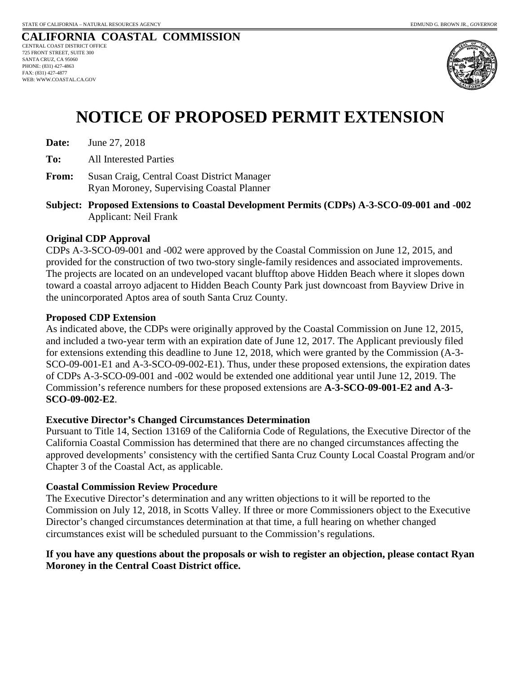

## **NOTICE OF PROPOSED PERMIT EXTENSION**

| Date: | June 27, 2018 |  |
|-------|---------------|--|
|-------|---------------|--|

**To:** All Interested Parties

- **From:** Susan Craig, Central Coast District Manager Ryan Moroney, Supervising Coastal Planner
- **Subject: Proposed Extensions to Coastal Development Permits (CDPs) A-3-SCO-09-001 and -002**  Applicant: Neil Frank

### **Original CDP Approval**

CDPs A-3-SCO-09-001 and -002 were approved by the Coastal Commission on June 12, 2015, and provided for the construction of two two-story single-family residences and associated improvements. The projects are located on an undeveloped vacant blufftop above Hidden Beach where it slopes down toward a coastal arroyo adjacent to Hidden Beach County Park just downcoast from Bayview Drive in the unincorporated Aptos area of south Santa Cruz County.

### **Proposed CDP Extension**

As indicated above, the CDPs were originally approved by the Coastal Commission on June 12, 2015, and included a two-year term with an expiration date of June 12, 2017. The Applicant previously filed for extensions extending this deadline to June 12, 2018, which were granted by the Commission (A-3- SCO-09-001-E1 and A-3-SCO-09-002-E1). Thus, under these proposed extensions, the expiration dates of CDPs A-3-SCO-09-001 and -002 would be extended one additional year until June 12, 2019. The Commission's reference numbers for these proposed extensions are **A-3-SCO-09-001-E2 and A-3- SCO-09-002-E2**.

### **Executive Director's Changed Circumstances Determination**

Pursuant to Title 14, Section 13169 of the California Code of Regulations, the Executive Director of the California Coastal Commission has determined that there are no changed circumstances affecting the approved developments' consistency with the certified Santa Cruz County Local Coastal Program and/or Chapter 3 of the Coastal Act, as applicable.

### **Coastal Commission Review Procedure**

The Executive Director's determination and any written objections to it will be reported to the Commission on July 12, 2018, in Scotts Valley. If three or more Commissioners object to the Executive Director's changed circumstances determination at that time, a full hearing on whether changed circumstances exist will be scheduled pursuant to the Commission's regulations.

### **If you have any questions about the proposals or wish to register an objection, please contact Ryan Moroney in the Central Coast District office.**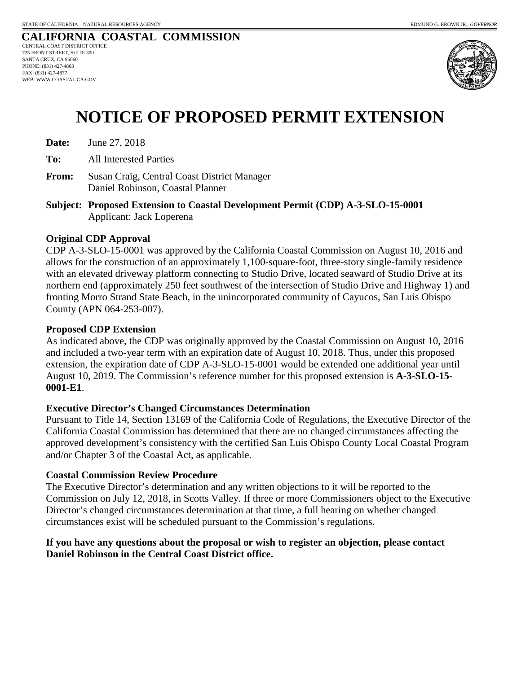

## **NOTICE OF PROPOSED PERMIT EXTENSION**

| Date: | June 27, 2018 |
|-------|---------------|
|-------|---------------|

**To:** All Interested Parties

- **From:** Susan Craig, Central Coast District Manager Daniel Robinson, Coastal Planner
- **Subject: Proposed Extension to Coastal Development Permit (CDP) A-3-SLO-15-0001**  Applicant: Jack Loperena

### **Original CDP Approval**

CDP A-3-SLO-15-0001 was approved by the California Coastal Commission on August 10, 2016 and allows for the construction of an approximately 1,100-square-foot, three-story single-family residence with an elevated driveway platform connecting to Studio Drive, located seaward of Studio Drive at its northern end (approximately 250 feet southwest of the intersection of Studio Drive and Highway 1) and fronting Morro Strand State Beach, in the unincorporated community of Cayucos, San Luis Obispo County (APN 064-253-007).

### **Proposed CDP Extension**

As indicated above, the CDP was originally approved by the Coastal Commission on August 10, 2016 and included a two-year term with an expiration date of August 10, 2018. Thus, under this proposed extension, the expiration date of CDP A-3-SLO-15-0001 would be extended one additional year until August 10, 2019. The Commission's reference number for this proposed extension is **A-3-SLO-15- 0001-E1**.

### **Executive Director's Changed Circumstances Determination**

Pursuant to Title 14, Section 13169 of the California Code of Regulations, the Executive Director of the California Coastal Commission has determined that there are no changed circumstances affecting the approved development's consistency with the certified San Luis Obispo County Local Coastal Program and/or Chapter 3 of the Coastal Act, as applicable.

### **Coastal Commission Review Procedure**

The Executive Director's determination and any written objections to it will be reported to the Commission on July 12, 2018, in Scotts Valley. If three or more Commissioners object to the Executive Director's changed circumstances determination at that time, a full hearing on whether changed circumstances exist will be scheduled pursuant to the Commission's regulations.

### **If you have any questions about the proposal or wish to register an objection, please contact Daniel Robinson in the Central Coast District office.**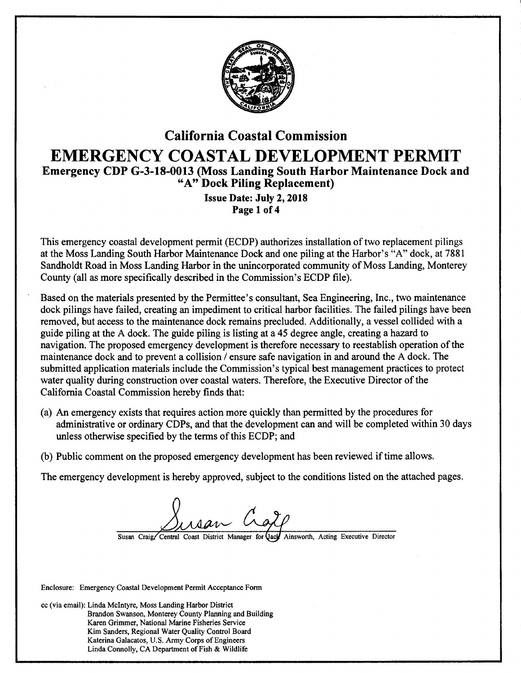

## California Coastal Commission EMERGENCY COASTAL DEVELOPMENT PERMIT Emergency CDP G-3-18-0013 (Moss Landing South Harbor Maintenance Dock and "A" Dock Piling Replacement)

Issue Date: July 2, 2018 Page 1 of 4

This emergency coastal development permit (ECDP) authorizes installation of two replacement pilings at the Moss Landing South Harbor Maintenance Dock and one piling at the Harbor's "A" dock, at 7881 Sandholdt Road in Moss Landing Harbor in the unincorporated community of Moss Landing, Monterey County (all as more specifically described in the Commission's ECDP file).

Based on the materials presented by the Permittee's consultant, Sea Engineering, Inc., two maintenance dock pilings have failed, creating an impediment to critical harbor facilities. The failed pilings have been removed, but access to the maintenance dock remains precluded. Additionally, a vessel collided with a guide piling at the A dock. The guide piling is listing at a 45 degree angle, creating a hazard to navigation. The proposed emergency development is therefore necessary to reestablish operation of the maintenance dock and to prevent a collision / ensure safe navigation in and around the A dock. The submitted application materials include the Commission's typical best management practices to protect water quality during construction over coastal waters. Therefore, the Executive Director of the California Coastal Commission hereby finds that:

- (a) An emergency exists that requires action more quickly than permitted by the procedures for administrative or ordinary CDPs, and that the development can and will be completed within 30 days unless otherwise specified by the terms of this ECDP; and
- (b) Public comment on the proposed emergency development has been reviewed if time allows.

The emergency development is hereby approved, subject to the conditions listed on the attached pages.

Susan Craig/Central Coast District Manager for Qacy Ainsworth, Acting Executive Director

Enclosure: Emergency Coastal Development Permit Acceptance Form

cc (via email): Linda Mcintyre, Moss Landing Harbor District Brandon Swanson, Monterey County Planning and Building Karen Grimmer, National Marine Fisheries Service Kim Sanders, Regional Water Quality Control Board Katerina Galacatos, U.S. Army Corps of Engineers Linda Connolly, CA Department of Fish & Wildlife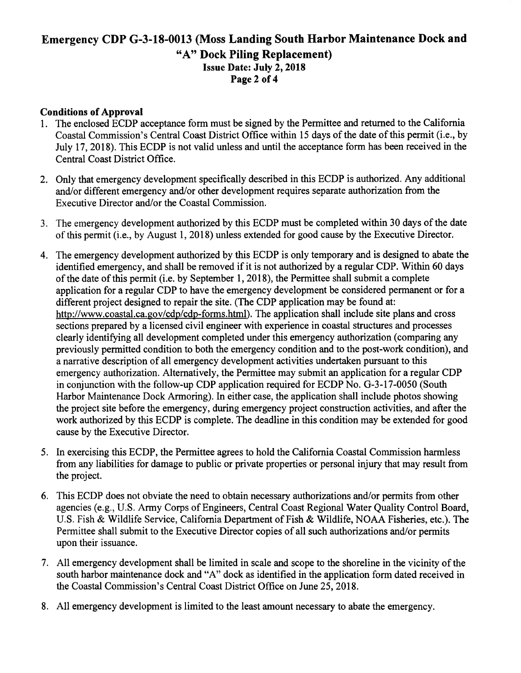### Emergency CDP G-3-18-0013 (Moss Landing South Harbor Maintenance Dock and "A" Dock Piling Replacement) Issue Date: July 2, 2018 Page 2 of 4

### Conditions of Approval

- 1. The enclosed ECDP acceptance form must be signed by the Permittee and returned to the California Coastal Commission's Central Coast District Office within 15 days of the date of this permit (i.e., by July 17, 2018). This ECDP is not valid unless and until the acceptance form has been received in the Central Coast District Office.
- 2. Only that emergency development specifically described in this ECDP is authorized. Any additional and/or different emergency and/or other development requires separate authorization from the Executive Director and/or the Coastal Commission.
- 3. The emergency development authorized by this ECDP must be completed within 30 days of the date of this permit (i.e., by August 1, 2018) unless extended for good cause by the Executive Director.
- 4. The emergency development authorized by this ECDP is only temporary and is designed to abate the identified emergency, and shall be removed if it is not authorized by a regular CDP. Within 60 days of the date of this permit (i.e. by September 1, 2018), the Permittee shall submit a complete application for a regular CDP to have the emergency development be considered permanent or for a different project designed to repair the site. (The CDP application may be found at: http://www.coastal.ca.gov/cdp/cdp-forms.html). The application shall include site plans and cross sections prepared by a licensed civil engineer with experience in coastal structures and processes clearly identifying all development completed under this emergency authorization (comparing any previously permitted condition to both the emergency condition and to the post-work condition), and a narrative description of all emergency development activities undertaken pursuant to this emergency authorization. Alternatively, the Permittee may submit an application for a regular CDP in conjunction with the follow-up CDP application required for ECDP No. G-3-17-0050 (South Harbor Maintenance Dock Armoring). In either case, the application shall include photos showing the project site before the emergency, during emergency project construction activities, and after the work authorized by this ECDP is complete. The deadline in this condition may be extended for good cause by the Executive Director.
- 5. In exercising this ECDP, the Permittee agrees to hold the California Coastal Commission harmless from any liabilities for damage to public or private properties or personal injury that may result from the project.
- 6. This ECDP does not obviate the need to obtain necessary authorizations and/or permits from other agencies (e.g., U.S. Army Corps of Engineers, Central Coast Regional Water Quality Control Board, U.S. Fish & Wildlife Service, California Department of Fish & Wildlife, NOAA Fisheries, etc.). The Permittee shall submit to the Executive Director copies of all such authorizations and/or permits upon their issuance.
- 7. All emergency development shall be limited in scale and scope to the shoreline in the vicinity of the south harbor maintenance dock and "A" dock as identified in the application form dated received in the Coastal Commission's Central Coast District Office on June 25, 2018.
- 8. All emergency development is limited to the least amount necessary to abate the emergency.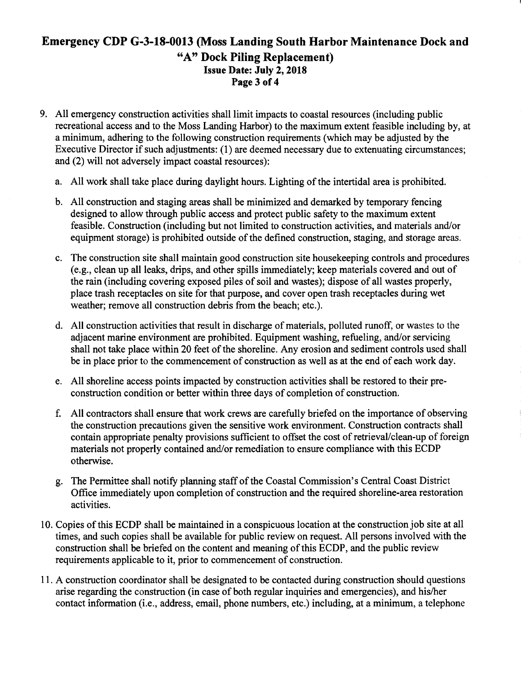### **Emergency CDP G-3-18-0013 (Moss Landing South Harbor Maintenance Dock and "A" Dock Piling Replacement) Issue Date: July 2, 2018 Page3 of4**

- 9. All emergency construction activities shall limit impacts to coastal resources (including public recreational access and to the Moss Landing Harbor) to the maximum extent feasible including by, at a minimum, adhering to the following construction requirements (which may be adjusted by the Executive Director if such adjustments: (1) are deemed necessary due to extenuating circumstances; and (2) will not adversely impact coastal resources):
	- a. All work shall take place during daylight hours. Lighting of the intertidal area is prohibited.
	- b. All construction and staging areas shall be minimized and demarked by temporary fencing designed to allow through public access and protect public safety to the maximum extent feasible. Construction (including but not limited to construction activities, and materials and/or equipment storage) is prohibited outside of the defined construction, staging, and storage areas.
	- c. The construction site shall maintain good construction site housekeeping controls and procedures (e.g., clean up all leaks, drips, and other spills immediately; keep materials covered and out of the rain (including covering exposed piles of soil and wastes); dispose of all wastes properly, place trash receptacles on site for that purpose, and cover open trash receptacles during wet weather; remove all construction debris from the beach; etc.).
	- d. All construction activities that result in discharge of materials, polluted runoff, or wastes to the adjacent marine environment are prohibited. Equipment washing, refueling, and/or servicing shall not take place within 20 feet of the shoreline. Any erosion and sediment controls used shall be in place prior to the commencement of construction as well as at the end of each work day.
	- e. All shoreline access points impacted by construction activities shall be restored to their preconstruction condition or better within three days of completion of construction.
	- f. All contractors shall ensure that work crews are carefully briefed on the importance of observing the construction precautions given the sensitive work environment. Construction contracts shall contain appropriate penalty provisions sufficient to offset the cost of retrieval/clean-up of foreign materials not properly contained and/or remediation to ensure compliance with this ECDP otherwise.
	- g. The Permittee shall notify planning staff of the Coastal Commission's Central Coast District Office immediately upon completion of construction and the required shoreline-area restoration activities.
- 10. Copies of this ECDP shall be maintained in a conspicuous location at the construction job site at all times, and such copies shall be available for public review on request. All persons involved with the construction shall be briefed on the content and meaning of this ECDP, and the public review requirements applicable to it, prior to commencement of construction.
- 11. A construction coordinator shall be designated to be contacted during construction should questions arise regarding the construction (in case of both regular inquiries and emergencies), and his/her contact information (i.e., address, email, phone numbers, etc.) including, at a minimum, a telephone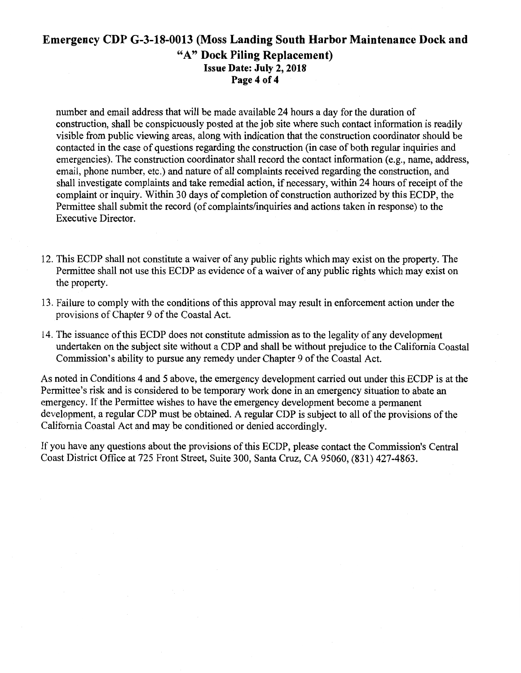### **Emergency CDP G-3-18-0013 (Moss Landing South Harbor Maintenance Dock and**  "A" **Dock Piling Replacement)**  Issue **Date: July 2, 2018 Page 4 of 4**

number and email address that will be made available 24 hours a day for the duration of construction, shall be conspicuously posted at the job site where such contact information is readily visible from public viewing areas, along with indication that the construction coordinator should be contacted in the case of questions regarding the construction (in case of both regular inquiries and emergencies). The construction coordinator shall record the contact information (e.g., name, address, email, phone number, etc.) and nature of all complaints received regarding the construction, and shall investigate complaints and take remedial action, if necessary, within 24 hours of receipt of the complaint or inquiry. Within 30 days of completion of construction authorized by this ECDP, the Permittee shall submit the record (of complaints/inquiries and actions taken in response) to the Executive Director.

- 12. This ECDP shall not constitute a waiver of any public rights which may exist on the property. The Permittee shall not use this ECDP as evidence of a waiver of any public rights which may exist on the property.
- 13. Failure to comply with the conditions of this approval may result in enforcement action under the provisions of Chapter 9 of the Coastal Act.
- 14. The issuance ofthis ECDP does not constitute admission as to the legality of any development undertaken on the subject site without a CDP and shall be without prejudice to the California Coastal Commission's ability to pursue any remedy under Chapter 9 of the Coastal Act.

As noted in Conditions 4 and 5 above, the emergency development carried out under this ECDP is at the Permittee's risk and is considered to be temporary work done in an emergency situation to abate an emergency. If the Permittee wishes to have the emergency development become a permanent development, a regular CDP must be obtained. A regular CDP is subject to all of the provisions of the California Coastal Act and may be conditioned or denied accordingly.

If you have any questions about the provisions of this ECDP, please contact the Commission's Central Coast District Office at 725 Front Street, Suite 300, Santa Cruz, CA 95060, (831) 427-4863.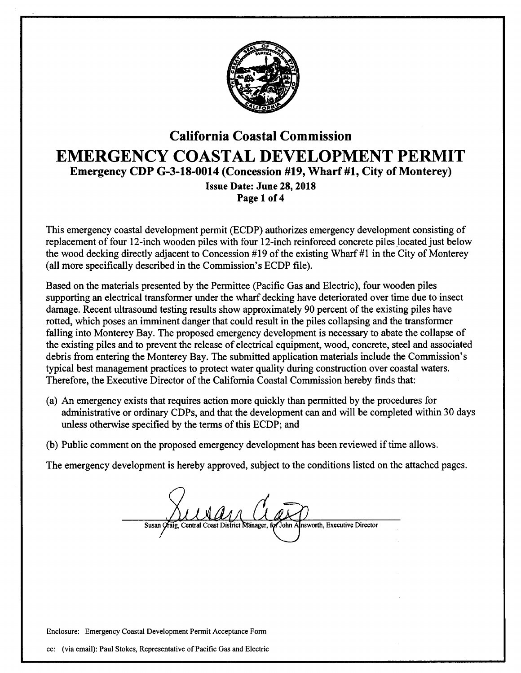

## California Coastal Commission EMERGENCY COASTAL DEVELOPMENT PERMIT Emergency CDP G-3-18-0014 (Concession #19, Wharf #1, City of Monterey) Issue Date: June 28, 2018 Page 1 of 4

This emergency coastal development permit (ECDP) authorizes emergency development consisting of replacement of four 12-inch wooden piles with four 12-inch reinforced concrete piles located just below the wood decking directly adjacent to Concession #19 of the existing Wharf #1 in the City of Monterey (all more specifically described in the Commission's ECDP file).

Based on the materials presented by the Permittee (Pacific Gas and Electric), four wooden piles supporting an electrical transformer under the wharf decking have deteriorated over time due to insect damage. Recent ultrasound testing results show approximately 90 percent of the existing piles have rotted, which poses an imminent danger that could result in the piles collapsing and the transformer falling into Monterey Bay. The proposed emergency development is necessary to abate the collapse of the existing piles and to prevent the release of electrical equipment, wood, concrete, steel and associated debris from entering the Monterey Bay. The submitted application materials include the Commission's typical best management practices to protect water quality during construction over coastal waters. Therefore, the Executive Director of the California Coastal Commission hereby finds that:

- (a) An emergency exists that requires action more quickly than permitted by the procedures for administrative or ordinary CDPs, and that the development can and will be completed within 30 days unless otherwise specified by the terms of this ECDP; and
- (b) Public comment on the proposed emergency development has been reviewed if time allows.

The emergency development is hereby approved, subject to the conditions listed on the attached pages.

Susan Oraig, Central Coast District Manager, for John Alnsworth, Executive Director

Enclosure: Emergency Coastal Development Permit Acceptance Form

cc: (via email): Paul Stokes, Representative of Pacific Gas and Electric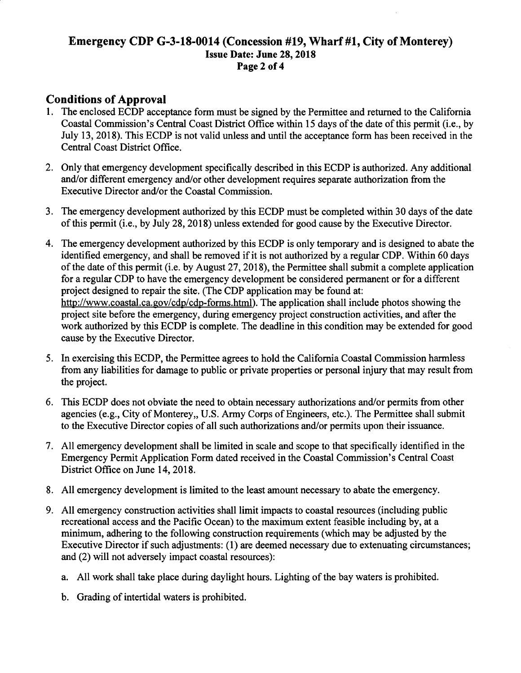### Emergency CDP G-3-18-0014 (Concession #19, Wharf #1, City of Monterey) Issue Date: June 28, 2018 Page 2 of 4

### Conditions of Approval

- 1. The enclosed ECDP acceptance form must be signed by the Permittee and returned to the California Coastal Commission's Central Coast District Office within 15 days of the date of this permit (i.e., by July 13, 2018). This ECDP is not valid unless and until the acceptance form has been received in the Central Coast District Office.
- 2. Only that emergency development specifically described in this ECDP is authorized. Any additional and/or different emergency and/or other development requires separate authorization from the Executive Director and/or the Coastal Commission.
- 3. The emergency development authorized by this ECDP must be completed within 30 days of the date of this permit (i.e., by July 28, 2018) unless extended for good cause by the Executive Director.
- 4. The emergency development authorized by this ECDP is only temporary and is designed to abate the identified emergency, and shall be removed if it is not authorized by a regular CDP. Within 60 days of the date of this permit (i.e. by August 27, 2018), the Permittee shall submit a complete application for a regular CDP to have the emergency development be considered permanent or for a different project designed to repair the site. (The CDP application may be found at: http://www.coastal.ca.gov/cdp/cdp-forms.html). The application shall include photos showing the project site before the emergency, during emergency project construction activities, and after the work authorized by this ECDP is complete. The deadline in this condition may be extended for good cause by the Executive Director.
- 5. In exercising this ECDP, the Permittee agrees to hold the California Coastal Commission harmless from any liabilities for damage to public or private properties or personal injury that may result from the project.
- 6. This ECDP does not obviate the need to obtain necessary authorizations and/or permits from other agencies (e.g., City of Monterey, U.S. Army Corps of Engineers, etc.). The Permittee shall submit to the Executive Director copies of all such authorizations and/or permits upon their issuance.
- 7. All emergency development shall be limited in scale and scope to that specifically identified in the Emergency Permit Application Form dated received in the Coastal Commission's Central Coast District Office on June 14, 2018.
- 8. All emergency development is limited to the least amount necessary to abate the emergency.
- 9. All emergency construction activities shall limit impacts to coastal resources (including public recreational access and the Pacific Ocean) to the maximum extent feasible including by, at a minimum, adhering to the following construction requirements (which may be adjusted by the Executive Director if such adjustments: (1) are deemed necessary due to extenuating circumstances; and (2) will not adversely impact coastal resources):
	- a. All work shall take place during daylight hours. Lighting of the bay waters is prohibited.
	- b. Grading of intertidal waters is prohibited.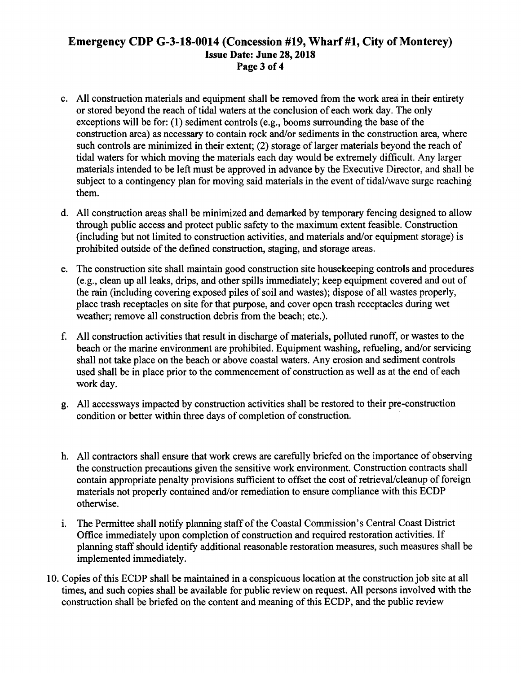### Emergency CDP G-3-18-0014 (Concession #19, Wharf #1, City of Monterey) Issue **Date: June 28, 2018 Page 3 of4**

- c. All construction materials and equipment shall be removed from the work area in their entirety or stored beyond the reach of tidal waters at the conclusion of each work day. The only exceptions will be for: **(1)** sediment controls (e.g., booms surrounding the base of the construction area) as necessary to contain rock and/or sediments in the construction area, where such controls are minimized in their extent; (2) storage of larger materials beyond the reach of tidal waters for which moving the materials each day would be extremely difficult. Any larger materials intended to be left must be approved in advance by the Executive Director, and shall be subject to a contingency plan for moving said materials in the event of tidal/wave surge reaching them.
- d. All construction areas shall be minimized and demarked by temporary fencing designed to allow through public access and protect public safety to the maximum extent feasible. Construction (including but not limited to construction activities, and materials and/or equipment storage) is prohibited outside of the defined construction, staging, and storage areas.
- e. The construction site shall maintain good construction site housekeeping controls and procedures (e.g., clean up all leaks, drips, and other spills immediately; keep equipment covered and out of the rain (including covering exposed piles of soil and wastes); dispose of all wastes properly, place trash receptacles on site for that purpose, and cover open trash receptacles during wet weather; remove all construction debris from the beach; etc.).
- f. All construction activities that result in discharge of materials, polluted runoff, or wastes to the beach or the marine environment are prohibited. Equipment washing, refueling, and/or servicing shall not take place on the beach or above coastal waters. Any erosion and sediment controls used shall be in place prior to the commencement of construction as well as at the end of each work day.
- g. All accessways impacted by construction activities shall be restored to their pre-construction condition or better within three days of completion of construction.
- h. All contractors shall ensure that work crews are carefully briefed on the importance of observing the construction precautions given the sensitive work environment. Construction contracts shall contain appropriate penalty provisions sufficient to offset the cost of retrieval/cleanup of foreign materials not properly contained and/or remediation to ensure compliance with this ECDP otherwise.
- 1. The Permittee shall notify planning staff of the Coastal Commission's Central Coast District Office immediately upon completion of construction and required restoration activities. If planning staff should identify additional reasonable restoration measures, such measures shall be implemented immediately.
- 10. Copies of this ECDP shall be maintained in a conspicuous location at the construction job site at all times, and such copies shall be available for public review on request. All persons involved with the construction shall be briefed on the content and meaning of this ECDP, and the public review